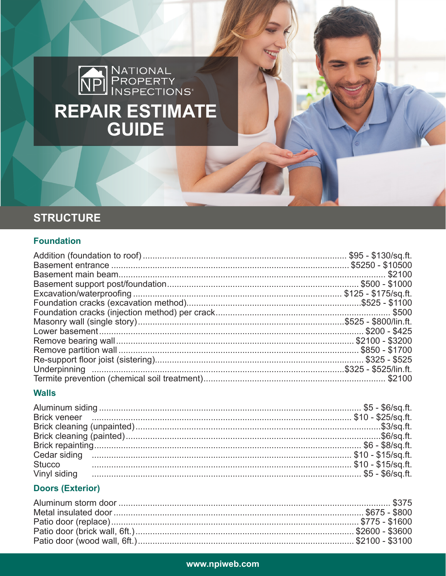# NATIONAL<br>
NPI PROPERTY<br>
INSPECTIONS REPAIR ESTIMATE

## **STRUCTURE**

## **Foundation**

#### **Walls**

| Brick veneer <u>in measure and the set of the set of the set of the set of the set of</u> the set of the set of the set of the set of the set of the set of the set of the set of the set of the set of the set of the set of the s |  |
|-------------------------------------------------------------------------------------------------------------------------------------------------------------------------------------------------------------------------------------|--|
|                                                                                                                                                                                                                                     |  |
|                                                                                                                                                                                                                                     |  |
|                                                                                                                                                                                                                                     |  |
|                                                                                                                                                                                                                                     |  |
|                                                                                                                                                                                                                                     |  |
|                                                                                                                                                                                                                                     |  |
|                                                                                                                                                                                                                                     |  |

## **Doors (Exterior)**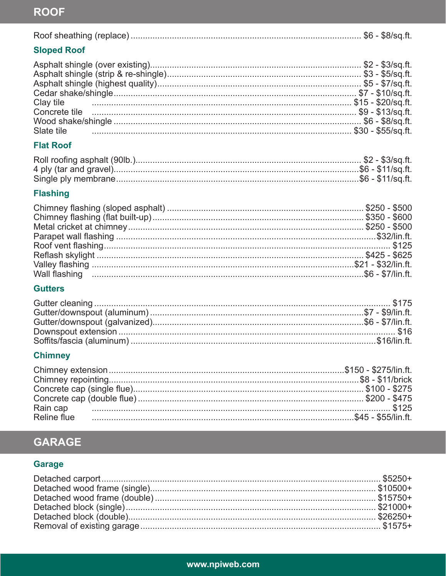# **ROOF**

|--|--|--|--|--|

## **Sloped Roof**

| Clay tile <b>20/sq.ft.</b> Concrete tile <b>20/sq.ft.</b> Concrete tile <b>20/sq.ft.</b> Concrete tile <b>20/sq.ft.</b> Concrete tile <b>20/sq.ft.</b> |  |
|--------------------------------------------------------------------------------------------------------------------------------------------------------|--|
|                                                                                                                                                        |  |
|                                                                                                                                                        |  |

## **Flat Roof**

## **Flashing**

## **Gutters**

## **Chimney**

# **GARAGE**

## Garage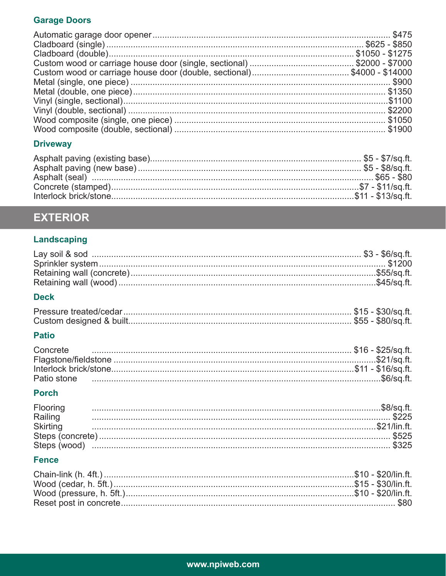## **Garage Doors**

## **Driveway**

# **EXTERIOR**

## Landscaping

### **Deck**

### **Patio**

| Concrete    |  |
|-------------|--|
|             |  |
|             |  |
| Patio stone |  |

#### **Porch**

| <b>Flooring</b> |  |
|-----------------|--|
| Railing         |  |
| Skirting        |  |
|                 |  |
|                 |  |
|                 |  |

## **Fence**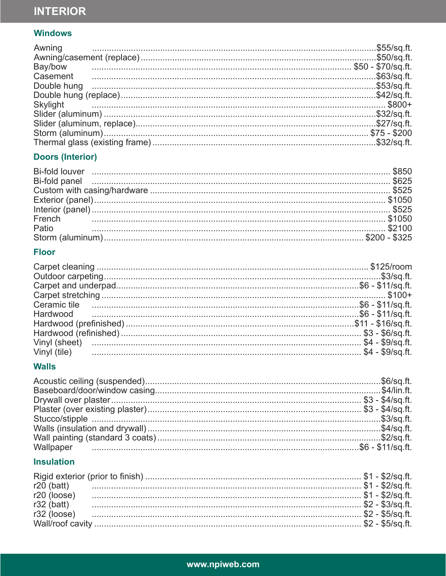# **INTERIOR**

## **Windows**

| Skylight \$800+ |  |
|-----------------|--|
|                 |  |
|                 |  |
|                 |  |
|                 |  |

## **Doors (Interior)**

| Bi-fold panel <b>contract to the contract of the contract of the set of the set of the set of the set of the set o</b> |  |
|------------------------------------------------------------------------------------------------------------------------|--|
|                                                                                                                        |  |
|                                                                                                                        |  |
|                                                                                                                        |  |
|                                                                                                                        |  |
|                                                                                                                        |  |
|                                                                                                                        |  |
|                                                                                                                        |  |

## **Floor**

| Ceramic tile <b>contracts</b> contract tile <b>contracts</b> contract tile <b>contracts</b> contract tile <b>contracts</b> contract tile <b>contracts</b> contract tile <b>contracts</b> contract til <b>contracts</b> contract til <b>contracts</b> contract til <b>con</b> |  |
|------------------------------------------------------------------------------------------------------------------------------------------------------------------------------------------------------------------------------------------------------------------------------|--|
|                                                                                                                                                                                                                                                                              |  |
|                                                                                                                                                                                                                                                                              |  |
|                                                                                                                                                                                                                                                                              |  |
|                                                                                                                                                                                                                                                                              |  |
|                                                                                                                                                                                                                                                                              |  |

## **Walls**

## **Insulation**

| $r20$ (loose) |                                                                                                                                                                                                                                |  |
|---------------|--------------------------------------------------------------------------------------------------------------------------------------------------------------------------------------------------------------------------------|--|
|               |                                                                                                                                                                                                                                |  |
|               | r32 (loose) manufactured and the state of the state of the state of the state of the state of the state of the state state state and state state state state state state state state state state state state state state state |  |
|               |                                                                                                                                                                                                                                |  |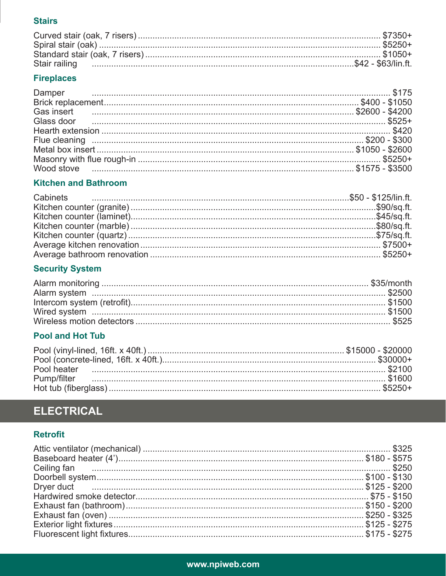#### **Stairs**

## **Fireplaces**

| Gas insert <b>contracts</b> 22600 - \$4200 |  |
|--------------------------------------------|--|
|                                            |  |
|                                            |  |
|                                            |  |
|                                            |  |
|                                            |  |
|                                            |  |

## **Kitchen and Bathroom**

## **Security System**

## **Pool and Hot Tub**

# **ELECTRICAL**

## **Retrofit**

| Ceiling fan <b>European Stuart (1986)</b> 5250 |  |
|------------------------------------------------|--|
|                                                |  |
|                                                |  |
|                                                |  |
|                                                |  |
|                                                |  |
|                                                |  |
|                                                |  |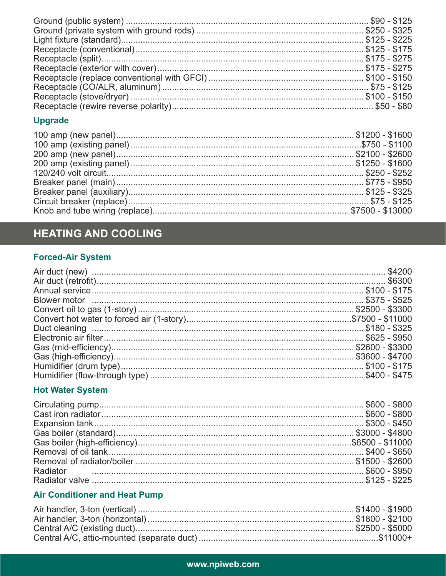## **Upgrade**

## **HEATING AND COOLING**

## **Forced-Air System**

# **Hot Water System**

| Radiator 2500 - \$950 |
|-----------------------|
|                       |
|                       |

## **Air Conditioner and Heat Pump**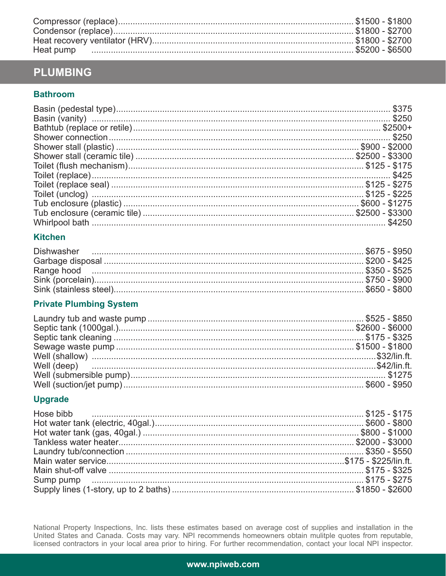## **PLUMBING**

#### **Bathroom**

#### **Kitchen**

#### **Private Plumbing System**

### **Upgrade**

National Property Inspections, Inc. lists these estimates based on average cost of supplies and installation in the<br>United States and Canada. Costs may vary. NPI recommends homeowners obtain mulitple quotes from reputable,